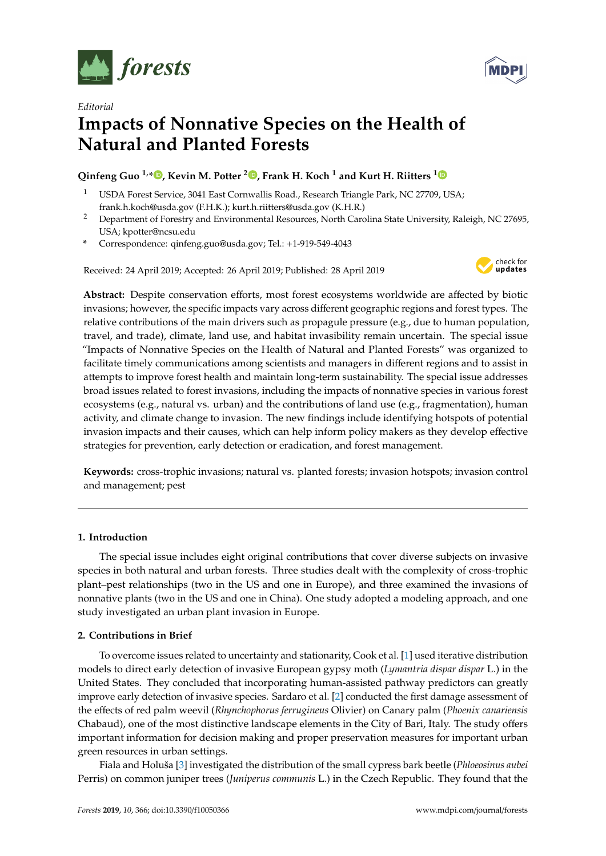



# *Editorial* **Impacts of Nonnative Species on the Health of Natural and Planted Forests**

## **Qinfeng Guo 1,\* [,](https://orcid.org/0000-0002-4375-4916) Kevin M. Potter <sup>2</sup> [,](https://orcid.org/0000-0002-7330-5345) Frank H. Koch <sup>1</sup> and Kurt H. Riitters [1](https://orcid.org/0000-0003-3901-4453)**

- <sup>1</sup> USDA Forest Service, 3041 East Cornwallis Road., Research Triangle Park, NC 27709, USA; frank.h.koch@usda.gov (F.H.K.); kurt.h.riitters@usda.gov (K.H.R.)
- <sup>2</sup> Department of Forestry and Environmental Resources, North Carolina State University, Raleigh, NC 27695, USA; kpotter@ncsu.edu
- **\*** Correspondence: qinfeng.guo@usda.gov; Tel.: +1-919-549-4043

Received: 24 April 2019; Accepted: 26 April 2019; Published: 28 April 2019



**Abstract:** Despite conservation efforts, most forest ecosystems worldwide are affected by biotic invasions; however, the specific impacts vary across different geographic regions and forest types. The relative contributions of the main drivers such as propagule pressure (e.g., due to human population, travel, and trade), climate, land use, and habitat invasibility remain uncertain. The special issue "Impacts of Nonnative Species on the Health of Natural and Planted Forests" was organized to facilitate timely communications among scientists and managers in different regions and to assist in attempts to improve forest health and maintain long-term sustainability. The special issue addresses broad issues related to forest invasions, including the impacts of nonnative species in various forest ecosystems (e.g., natural vs. urban) and the contributions of land use (e.g., fragmentation), human activity, and climate change to invasion. The new findings include identifying hotspots of potential invasion impacts and their causes, which can help inform policy makers as they develop effective strategies for prevention, early detection or eradication, and forest management.

**Keywords:** cross-trophic invasions; natural vs. planted forests; invasion hotspots; invasion control and management; pest

### **1. Introduction**

The special issue includes eight original contributions that cover diverse subjects on invasive species in both natural and urban forests. Three studies dealt with the complexity of cross-trophic plant–pest relationships (two in the US and one in Europe), and three examined the invasions of nonnative plants (two in the US and one in China). One study adopted a modeling approach, and one study investigated an urban plant invasion in Europe.

### **2. Contributions in Brief**

To overcome issues related to uncertainty and stationarity, Cook et al. [\[1\]](#page-1-0) used iterative distribution models to direct early detection of invasive European gypsy moth (*Lymantria dispar dispar* L.) in the United States. They concluded that incorporating human-assisted pathway predictors can greatly improve early detection of invasive species. Sardaro et al. [\[2\]](#page-1-1) conducted the first damage assessment of the effects of red palm weevil (*Rhynchophorus ferrugineus* Olivier) on Canary palm (*Phoenix canariensis* Chabaud), one of the most distinctive landscape elements in the City of Bari, Italy. The study offers important information for decision making and proper preservation measures for important urban green resources in urban settings.

Fiala and Holuša [\[3\]](#page-1-2) investigated the distribution of the small cypress bark beetle (*Phloeosinus aubei* Perris) on common juniper trees (*Juniperus communis* L.) in the Czech Republic. They found that the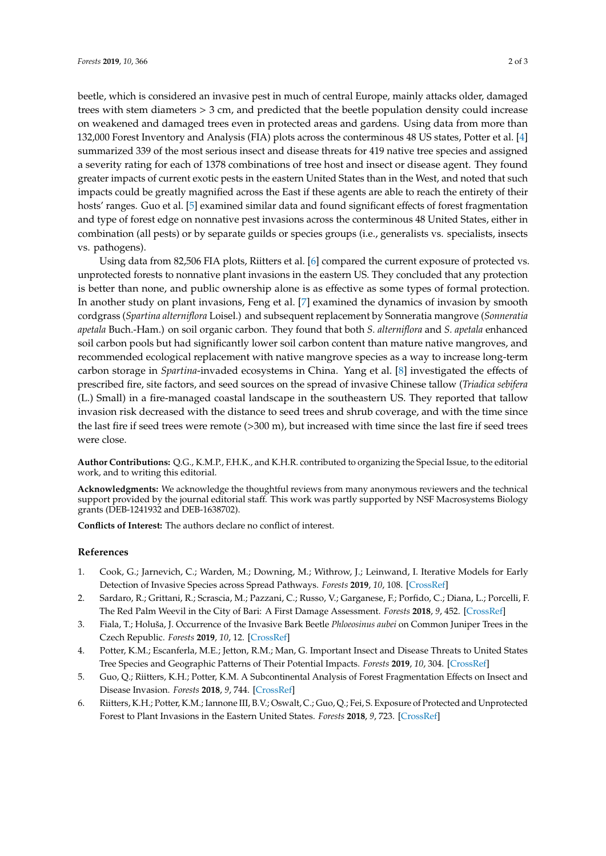beetle, which is considered an invasive pest in much of central Europe, mainly attacks older, damaged trees with stem diameters > 3 cm, and predicted that the beetle population density could increase on weakened and damaged trees even in protected areas and gardens. Using data from more than 132,000 Forest Inventory and Analysis (FIA) plots across the conterminous 48 US states, Potter et al. [\[4\]](#page-1-3) summarized 339 of the most serious insect and disease threats for 419 native tree species and assigned a severity rating for each of 1378 combinations of tree host and insect or disease agent. They found greater impacts of current exotic pests in the eastern United States than in the West, and noted that such impacts could be greatly magnified across the East if these agents are able to reach the entirety of their hosts' ranges. Guo et al. [\[5\]](#page-1-4) examined similar data and found significant effects of forest fragmentation and type of forest edge on nonnative pest invasions across the conterminous 48 United States, either in combination (all pests) or by separate guilds or species groups (i.e., generalists vs. specialists, insects vs. pathogens).

Using data from 82,506 FIA plots, Riitters et al. [\[6\]](#page-1-5) compared the current exposure of protected vs. unprotected forests to nonnative plant invasions in the eastern US. They concluded that any protection is better than none, and public ownership alone is as effective as some types of formal protection. In another study on plant invasions, Feng et al. [\[7\]](#page-2-0) examined the dynamics of invasion by smooth cordgrass (*Spartina alterniflora* Loisel.) and subsequent replacement by Sonneratia mangrove (*Sonneratia apetala* Buch.-Ham.) on soil organic carbon. They found that both *S. alterniflora* and *S. apetala* enhanced soil carbon pools but had significantly lower soil carbon content than mature native mangroves, and recommended ecological replacement with native mangrove species as a way to increase long-term carbon storage in *Spartina*-invaded ecosystems in China. Yang et al. [\[8\]](#page-2-1) investigated the effects of prescribed fire, site factors, and seed sources on the spread of invasive Chinese tallow (*Triadica sebifera* (L.) Small) in a fire-managed coastal landscape in the southeastern US. They reported that tallow invasion risk decreased with the distance to seed trees and shrub coverage, and with the time since the last fire if seed trees were remote (>300 m), but increased with time since the last fire if seed trees were close.

**Author Contributions:** Q.G., K.M.P., F.H.K., and K.H.R. contributed to organizing the Special Issue, to the editorial work, and to writing this editorial.

**Acknowledgments:** We acknowledge the thoughtful reviews from many anonymous reviewers and the technical support provided by the journal editorial staff. This work was partly supported by NSF Macrosystems Biology grants (DEB-1241932 and DEB-1638702).

**Conflicts of Interest:** The authors declare no conflict of interest.

#### **References**

- <span id="page-1-0"></span>1. Cook, G.; Jarnevich, C.; Warden, M.; Downing, M.; Withrow, J.; Leinwand, I. Iterative Models for Early Detection of Invasive Species across Spread Pathways. *Forests* **2019**, *10*, 108. [\[CrossRef\]](http://dx.doi.org/10.3390/f10020108)
- <span id="page-1-1"></span>2. Sardaro, R.; Grittani, R.; Scrascia, M.; Pazzani, C.; Russo, V.; Garganese, F.; Porfido, C.; Diana, L.; Porcelli, F. The Red Palm Weevil in the City of Bari: A First Damage Assessment. *Forests* **2018**, *9*, 452. [\[CrossRef\]](http://dx.doi.org/10.3390/f9080452)
- <span id="page-1-2"></span>3. Fiala, T.; Holuša, J. Occurrence of the Invasive Bark Beetle *Phloeosinus aubei* on Common Juniper Trees in the Czech Republic. *Forests* **2019**, *10*, 12. [\[CrossRef\]](http://dx.doi.org/10.3390/f10010012)
- <span id="page-1-3"></span>4. Potter, K.M.; Escanferla, M.E.; Jetton, R.M.; Man, G. Important Insect and Disease Threats to United States Tree Species and Geographic Patterns of Their Potential Impacts. *Forests* **2019**, *10*, 304. [\[CrossRef\]](http://dx.doi.org/10.3390/f10040304)
- <span id="page-1-4"></span>5. Guo, Q.; Riitters, K.H.; Potter, K.M. A Subcontinental Analysis of Forest Fragmentation Effects on Insect and Disease Invasion. *Forests* **2018**, *9*, 744. [\[CrossRef\]](http://dx.doi.org/10.3390/f9120744)
- <span id="page-1-5"></span>6. Riitters, K.H.; Potter, K.M.; Iannone III, B.V.; Oswalt, C.; Guo, Q.; Fei, S. Exposure of Protected and Unprotected Forest to Plant Invasions in the Eastern United States. *Forests* **2018**, *9*, 723. [\[CrossRef\]](http://dx.doi.org/10.3390/f9110723)